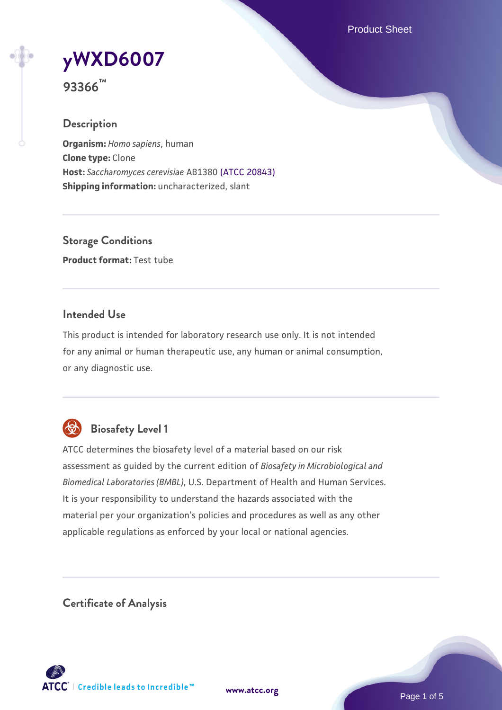Product Sheet

# **[yWXD6007](https://www.atcc.org/products/93366)**

**93366™**

# **Description**

**Organism:** *Homo sapiens*, human **Clone type:** Clone **Host:** *Saccharomyces cerevisiae* AB1380 [\(ATCC 20843\)](https://www.atcc.org/products/20843) **Shipping information:** uncharacterized, slant

**Storage Conditions Product format:** Test tube

# **Intended Use**

This product is intended for laboratory research use only. It is not intended for any animal or human therapeutic use, any human or animal consumption, or any diagnostic use.



# **Biosafety Level 1**

ATCC determines the biosafety level of a material based on our risk assessment as guided by the current edition of *Biosafety in Microbiological and Biomedical Laboratories (BMBL)*, U.S. Department of Health and Human Services. It is your responsibility to understand the hazards associated with the material per your organization's policies and procedures as well as any other applicable regulations as enforced by your local or national agencies.

**Certificate of Analysis**

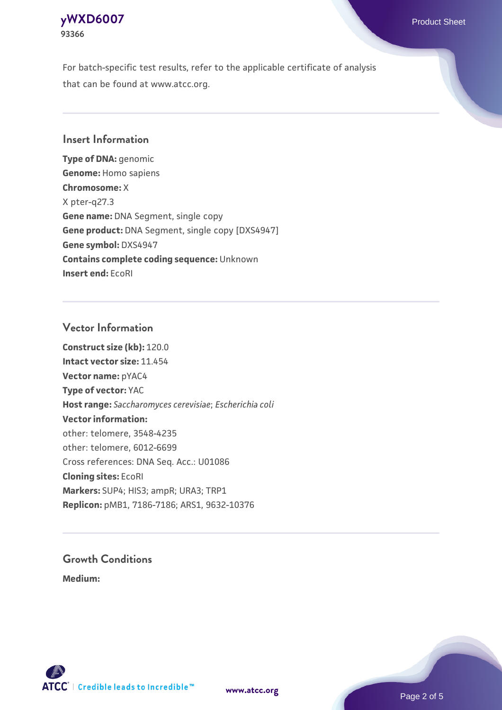# **[yWXD6007](https://www.atcc.org/products/93366)** Product Sheet **93366**

For batch-specific test results, refer to the applicable certificate of analysis that can be found at www.atcc.org.

# **Insert Information**

**Type of DNA:** genomic **Genome:** Homo sapiens **Chromosome:** X X pter-q27.3 **Gene name:** DNA Segment, single copy **Gene product:** DNA Segment, single copy [DXS4947] **Gene symbol:** DXS4947 **Contains complete coding sequence:** Unknown **Insert end:** EcoRI

# **Vector Information**

**Construct size (kb):** 120.0 **Intact vector size:** 11.454 **Vector name:** pYAC4 **Type of vector:** YAC **Host range:** *Saccharomyces cerevisiae*; *Escherichia coli* **Vector information:** other: telomere, 3548-4235 other: telomere, 6012-6699 Cross references: DNA Seq. Acc.: U01086 **Cloning sites:** EcoRI **Markers:** SUP4; HIS3; ampR; URA3; TRP1 **Replicon:** pMB1, 7186-7186; ARS1, 9632-10376

# **Growth Conditions**

**Medium:** 



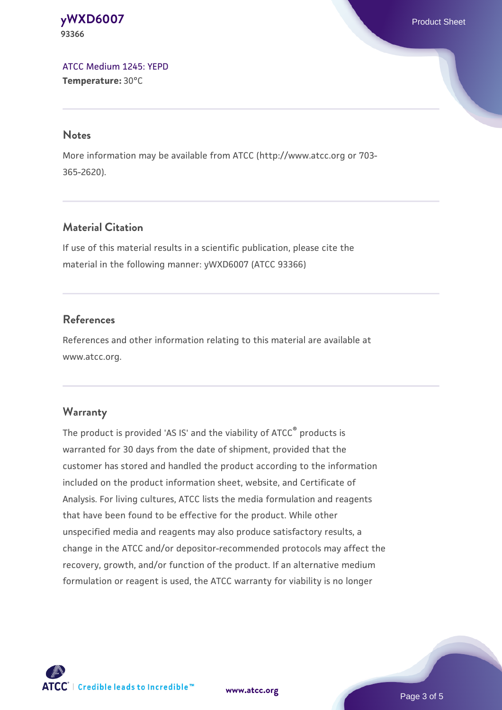**[yWXD6007](https://www.atcc.org/products/93366)** Product Sheet **93366**

[ATCC Medium 1245: YEPD](https://www.atcc.org/-/media/product-assets/documents/microbial-media-formulations/1/2/4/5/atcc-medium-1245.pdf?rev=705ca55d1b6f490a808a965d5c072196) **Temperature:** 30°C

#### **Notes**

More information may be available from ATCC (http://www.atcc.org or 703- 365-2620).

# **Material Citation**

If use of this material results in a scientific publication, please cite the material in the following manner: yWXD6007 (ATCC 93366)

# **References**

References and other information relating to this material are available at www.atcc.org.

#### **Warranty**

The product is provided 'AS IS' and the viability of ATCC® products is warranted for 30 days from the date of shipment, provided that the customer has stored and handled the product according to the information included on the product information sheet, website, and Certificate of Analysis. For living cultures, ATCC lists the media formulation and reagents that have been found to be effective for the product. While other unspecified media and reagents may also produce satisfactory results, a change in the ATCC and/or depositor-recommended protocols may affect the recovery, growth, and/or function of the product. If an alternative medium formulation or reagent is used, the ATCC warranty for viability is no longer

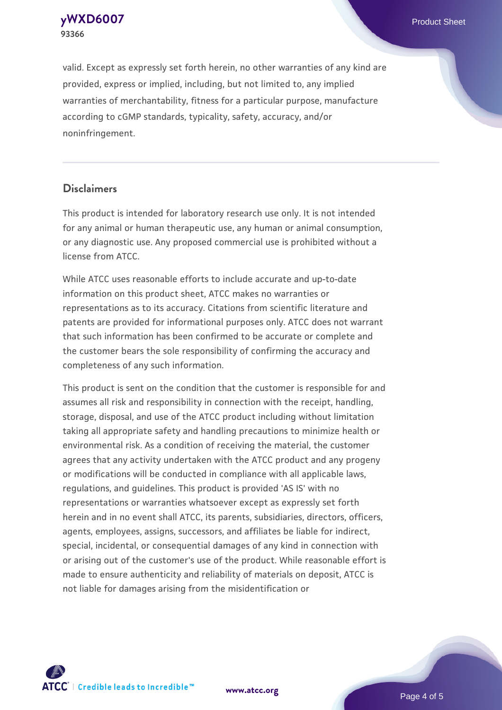**93366**

**[yWXD6007](https://www.atcc.org/products/93366)** Product Sheet

valid. Except as expressly set forth herein, no other warranties of any kind are provided, express or implied, including, but not limited to, any implied warranties of merchantability, fitness for a particular purpose, manufacture according to cGMP standards, typicality, safety, accuracy, and/or noninfringement.

#### **Disclaimers**

This product is intended for laboratory research use only. It is not intended for any animal or human therapeutic use, any human or animal consumption, or any diagnostic use. Any proposed commercial use is prohibited without a license from ATCC.

While ATCC uses reasonable efforts to include accurate and up-to-date information on this product sheet, ATCC makes no warranties or representations as to its accuracy. Citations from scientific literature and patents are provided for informational purposes only. ATCC does not warrant that such information has been confirmed to be accurate or complete and the customer bears the sole responsibility of confirming the accuracy and completeness of any such information.

This product is sent on the condition that the customer is responsible for and assumes all risk and responsibility in connection with the receipt, handling, storage, disposal, and use of the ATCC product including without limitation taking all appropriate safety and handling precautions to minimize health or environmental risk. As a condition of receiving the material, the customer agrees that any activity undertaken with the ATCC product and any progeny or modifications will be conducted in compliance with all applicable laws, regulations, and guidelines. This product is provided 'AS IS' with no representations or warranties whatsoever except as expressly set forth herein and in no event shall ATCC, its parents, subsidiaries, directors, officers, agents, employees, assigns, successors, and affiliates be liable for indirect, special, incidental, or consequential damages of any kind in connection with or arising out of the customer's use of the product. While reasonable effort is made to ensure authenticity and reliability of materials on deposit, ATCC is not liable for damages arising from the misidentification or



**[www.atcc.org](http://www.atcc.org)**

Page 4 of 5